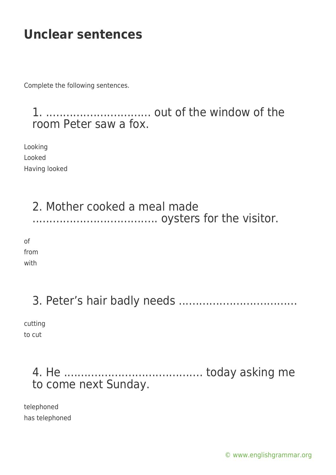# **Unclear sentences**

Complete the following sentences.

1. ............................... out of the window of the room Peter saw a fox.

Looking Looked Having looked

#### 2. Mother cooked a meal made ..................................... oysters for the visitor.

of from

with

## 3. Peter's hair badly needs ...................................

cutting to cut

### 4. He ......................................... today asking me to come next Sunday.

telephoned has telephoned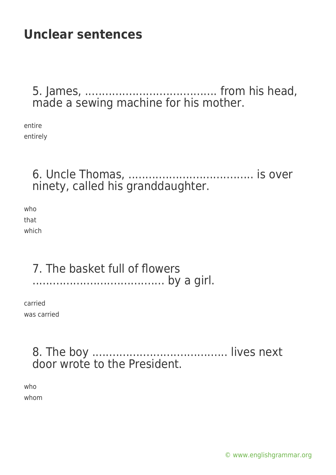# **Unclear sentences**

5. James, ....................................... from his head, made a sewing machine for his mother.

entire entirely

> 6. Uncle Thomas, ..................................... is over ninety, called his granddaughter.

who that which

#### 7. The basket full of flowers ....................................... by a girl.

carried was carried

### 8. The boy ........................................ lives next door wrote to the President.

who whom